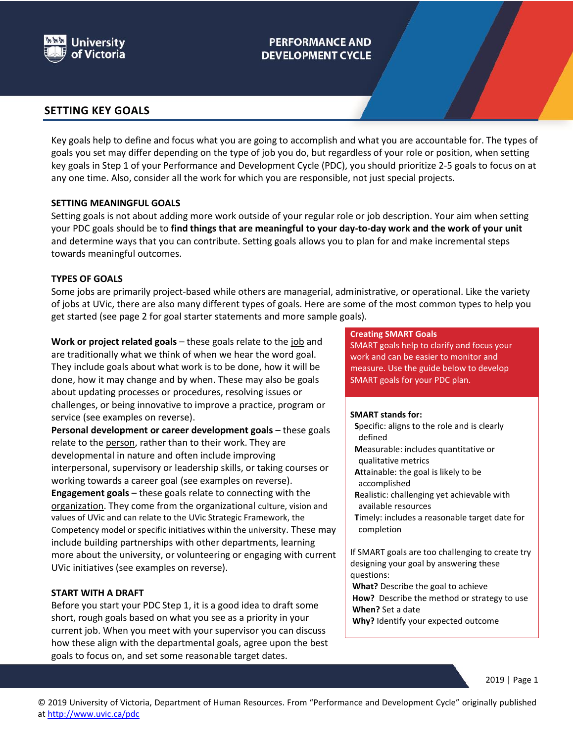

# **PERFORMANCE AND DEVELOPMENT CYCLE**

## **SETTING KEY GOALS**

Key goals help to define and focus what you are going to accomplish and what you are accountable for. The types of goals you set may differ depending on the type of job you do, but regardless of your role or position, when setting key goals in Step 1 of your Performance and Development Cycle (PDC), you should prioritize 2-5 goals to focus on at any one time. Also, consider all the work for which you are responsible, not just special projects.

## **SETTING MEANINGFUL GOALS**

Setting goals is not about adding more work outside of your regular role or job description. Your aim when setting your PDC goals should be to **find things that are meaningful to your day-to-day work and the work of your unit**  and determine ways that you can contribute. Setting goals allows you to plan for and make incremental steps towards meaningful outcomes.

## **TYPES OF GOALS**

Some jobs are primarily project-based while others are managerial, administrative, or operational. Like the variety of jobs at UVic, there are also many different types of goals. Here are some of the most common types to help you get started (see page 2 for goal starter statements and more sample goals).

Work or project related goals – these goals relate to the job and are traditionally what we think of when we hear the word goal. They include goals about what work is to be done, how it will be done, how it may change and by when. These may also be goals about updating processes or procedures, resolving issues or challenges, or being innovative to improve a practice, program or service (see examples on reverse).

**Personal development or career development goals** – these goals relate to the person, rather than to their work. They are developmental in nature and often include improving interpersonal, supervisory or leadership skills, or taking courses or working towards a career goal (see examples on reverse). **Engagement goals** – these goals relate to connecting with the organization. They come from the organizational culture, vision and values of UVic and can relate to the UVic Strategic Framework, the Competency model or specific initiatives within the university. These may include building partnerships with other departments, learning more about the university, or volunteering or engaging with current UVic initiatives (see examples on reverse).

## **START WITH A DRAFT**

Before you start your PDC Step 1, it is a good idea to draft some short, rough goals based on what you see as a priority in your current job. When you meet with your supervisor you can discuss how these align with the departmental goals, agree upon the best goals to focus on, and set some reasonable target dates.

### **Creating SMART Goals**

SMART goals help to clarify and focus your work and can be easier to monitor and measure. Use the guide below to develop SMART goals for your PDC plan.

### **SMART stands for:**

- **S**pecific: aligns to the role and is clearly defined
- **M**easurable: includes quantitative or qualitative metrics
- **A**ttainable: the goal is likely to be accomplished
- **R**ealistic: challenging yet achievable with available resources
- **T**imely: includes a reasonable target date for completion

If SMART goals are too challenging to create try designing your goal by answering these questions:

**What?** Describe the goal to achieve **How?** Describe the method or strategy to use **When?** Set a date

**Why?** Identify your expected outcome

2019 | Page 1